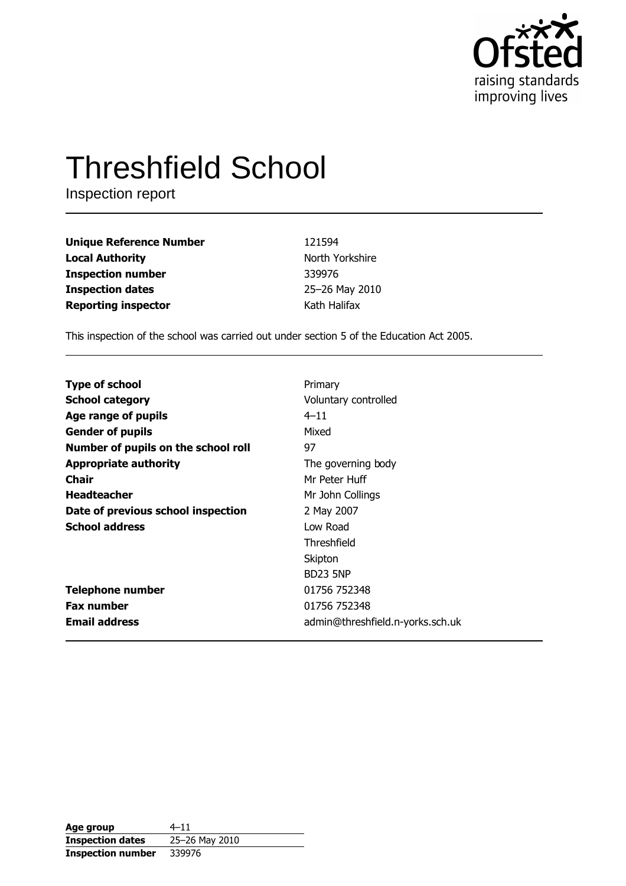

# **Threshfield School**

Inspection report

| <b>Unique Reference Number</b> | 121594          |
|--------------------------------|-----------------|
| <b>Local Authority</b>         | North Yorkshire |
| <b>Inspection number</b>       | 339976          |
| <b>Inspection dates</b>        | 25-26 May 2010  |
| <b>Reporting inspector</b>     | Kath Halifax    |

This inspection of the school was carried out under section 5 of the Education Act 2005.

| <b>Type of school</b>               | Primary                          |
|-------------------------------------|----------------------------------|
| <b>School category</b>              | Voluntary controlled             |
| Age range of pupils                 | $4 - 11$                         |
| <b>Gender of pupils</b>             | Mixed                            |
| Number of pupils on the school roll | 97                               |
| <b>Appropriate authority</b>        | The governing body               |
| Chair                               | Mr Peter Huff                    |
| <b>Headteacher</b>                  | Mr John Collings                 |
| Date of previous school inspection  | 2 May 2007                       |
| <b>School address</b>               | Low Road                         |
|                                     | Threshfield                      |
|                                     | Skipton                          |
|                                     | <b>BD23 5NP</b>                  |
| <b>Telephone number</b>             | 01756 752348                     |
| <b>Fax number</b>                   | 01756 752348                     |
| <b>Email address</b>                | admin@threshfield.n-yorks.sch.uk |

| Age group                | $4 - 11$       |
|--------------------------|----------------|
| <b>Inspection dates</b>  | 25-26 May 2010 |
| <b>Inspection number</b> | 339976         |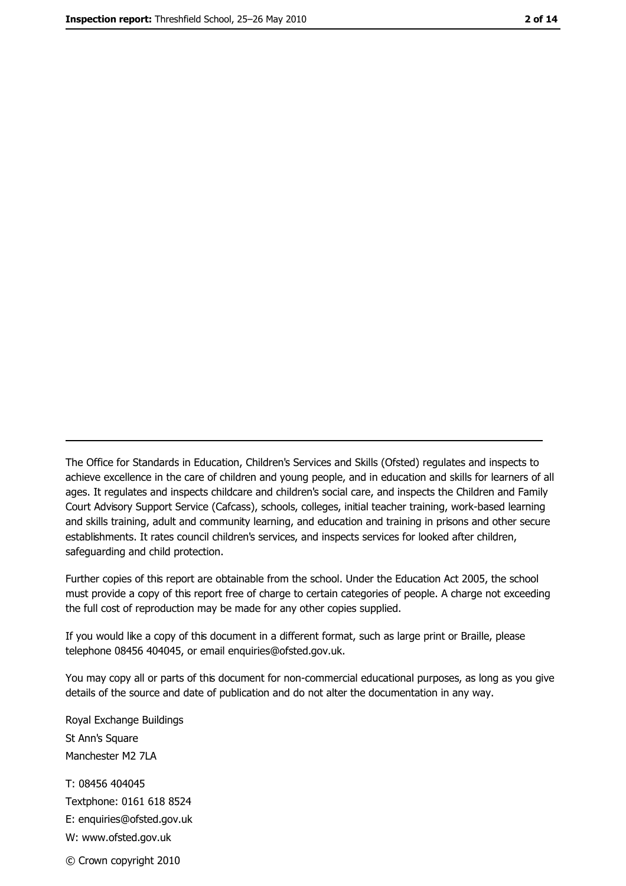The Office for Standards in Education, Children's Services and Skills (Ofsted) regulates and inspects to achieve excellence in the care of children and young people, and in education and skills for learners of all ages. It regulates and inspects childcare and children's social care, and inspects the Children and Family Court Advisory Support Service (Cafcass), schools, colleges, initial teacher training, work-based learning and skills training, adult and community learning, and education and training in prisons and other secure establishments. It rates council children's services, and inspects services for looked after children, safequarding and child protection.

Further copies of this report are obtainable from the school. Under the Education Act 2005, the school must provide a copy of this report free of charge to certain categories of people. A charge not exceeding the full cost of reproduction may be made for any other copies supplied.

If you would like a copy of this document in a different format, such as large print or Braille, please telephone 08456 404045, or email enquiries@ofsted.gov.uk.

You may copy all or parts of this document for non-commercial educational purposes, as long as you give details of the source and date of publication and do not alter the documentation in any way.

Royal Exchange Buildings St Ann's Square Manchester M2 7LA T: 08456 404045 Textphone: 0161 618 8524 E: enquiries@ofsted.gov.uk W: www.ofsted.gov.uk © Crown copyright 2010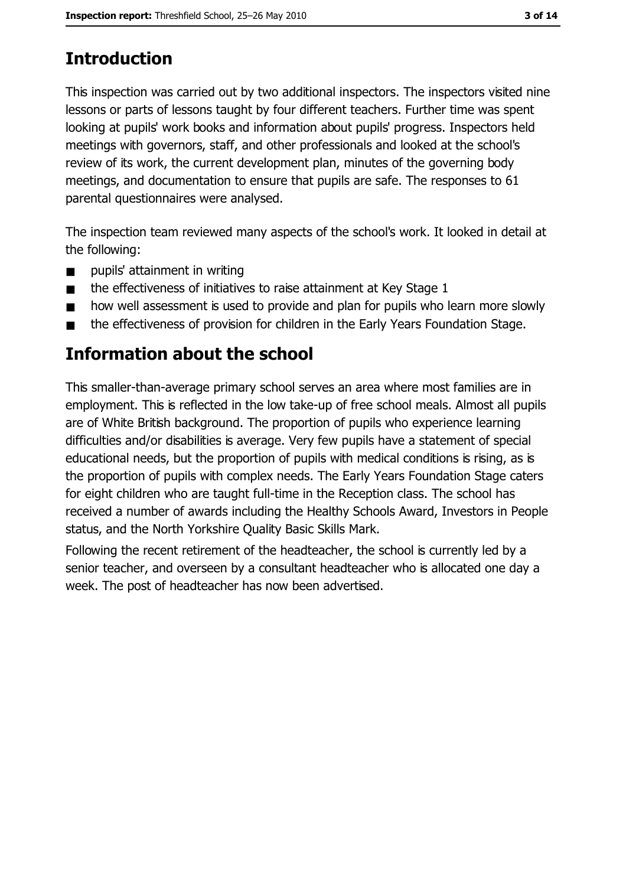# **Introduction**

This inspection was carried out by two additional inspectors. The inspectors visited nine lessons or parts of lessons taught by four different teachers. Further time was spent looking at pupils' work books and information about pupils' progress. Inspectors held meetings with governors, staff, and other professionals and looked at the school's review of its work, the current development plan, minutes of the governing body meetings, and documentation to ensure that pupils are safe. The responses to 61 parental questionnaires were analysed.

The inspection team reviewed many aspects of the school's work. It looked in detail at the following:

- pupils' attainment in writing  $\blacksquare$
- the effectiveness of initiatives to raise attainment at Key Stage 1  $\blacksquare$
- how well assessment is used to provide and plan for pupils who learn more slowly  $\blacksquare$
- the effectiveness of provision for children in the Early Years Foundation Stage.  $\blacksquare$

# Information about the school

This smaller-than-average primary school serves an area where most families are in employment. This is reflected in the low take-up of free school meals. Almost all pupils are of White British background. The proportion of pupils who experience learning difficulties and/or disabilities is average. Very few pupils have a statement of special educational needs, but the proportion of pupils with medical conditions is rising, as is the proportion of pupils with complex needs. The Early Years Foundation Stage caters for eight children who are taught full-time in the Reception class. The school has received a number of awards including the Healthy Schools Award, Investors in People status, and the North Yorkshire Quality Basic Skills Mark.

Following the recent retirement of the headteacher, the school is currently led by a senior teacher, and overseen by a consultant headteacher who is allocated one day a week. The post of headteacher has now been advertised.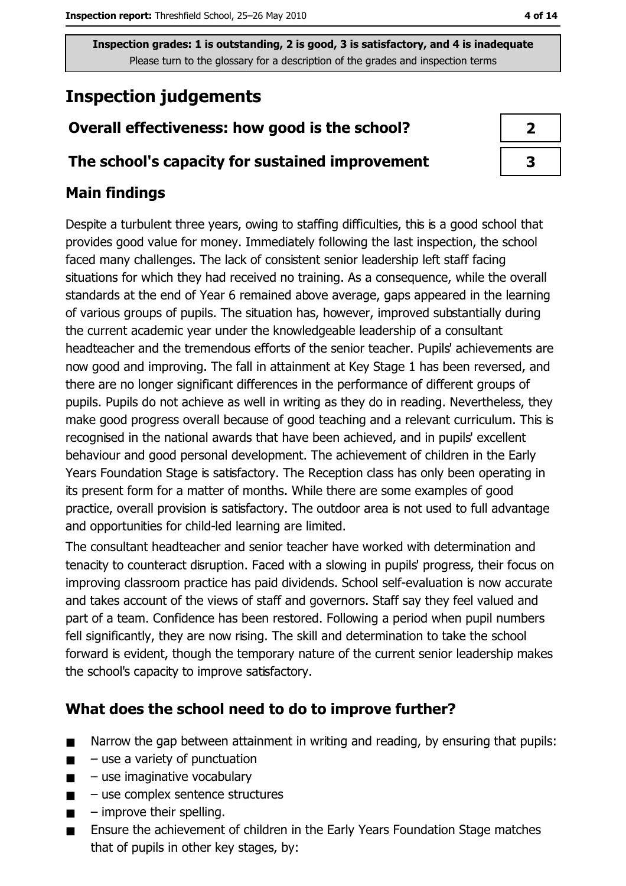# **Inspection judgements**

# Overall effectiveness: how good is the school?

### The school's capacity for sustained improvement

# **Main findings**

Despite a turbulent three years, owing to staffing difficulties, this is a good school that provides good value for money. Immediately following the last inspection, the school faced many challenges. The lack of consistent senior leadership left staff facing situations for which they had received no training. As a consequence, while the overall standards at the end of Year 6 remained above average, gaps appeared in the learning of various groups of pupils. The situation has, however, improved substantially during the current academic year under the knowledgeable leadership of a consultant headteacher and the tremendous efforts of the senior teacher. Pupils' achievements are now good and improving. The fall in attainment at Key Stage 1 has been reversed, and there are no longer significant differences in the performance of different groups of pupils. Pupils do not achieve as well in writing as they do in reading. Nevertheless, they make good progress overall because of good teaching and a relevant curriculum. This is recognised in the national awards that have been achieved, and in pupils' excellent behaviour and good personal development. The achievement of children in the Early Years Foundation Stage is satisfactory. The Reception class has only been operating in its present form for a matter of months. While there are some examples of good practice, overall provision is satisfactory. The outdoor area is not used to full advantage and opportunities for child-led learning are limited.

The consultant headteacher and senior teacher have worked with determination and tenacity to counteract disruption. Faced with a slowing in pupils' progress, their focus on improving classroom practice has paid dividends. School self-evaluation is now accurate and takes account of the views of staff and governors. Staff say they feel valued and part of a team. Confidence has been restored. Following a period when pupil numbers fell significantly, they are now rising. The skill and determination to take the school forward is evident, though the temporary nature of the current senior leadership makes the school's capacity to improve satisfactory.

### What does the school need to do to improve further?

- $\blacksquare$ Narrow the gap between attainment in writing and reading, by ensuring that pupils:
- $-$  use a variety of punctuation  $\blacksquare$
- use imaginative vocabulary  $\blacksquare$
- use complex sentence structures  $\blacksquare$
- $-$  improve their spelling.  $\blacksquare$
- Ensure the achievement of children in the Early Years Foundation Stage matches that of pupils in other key stages, by: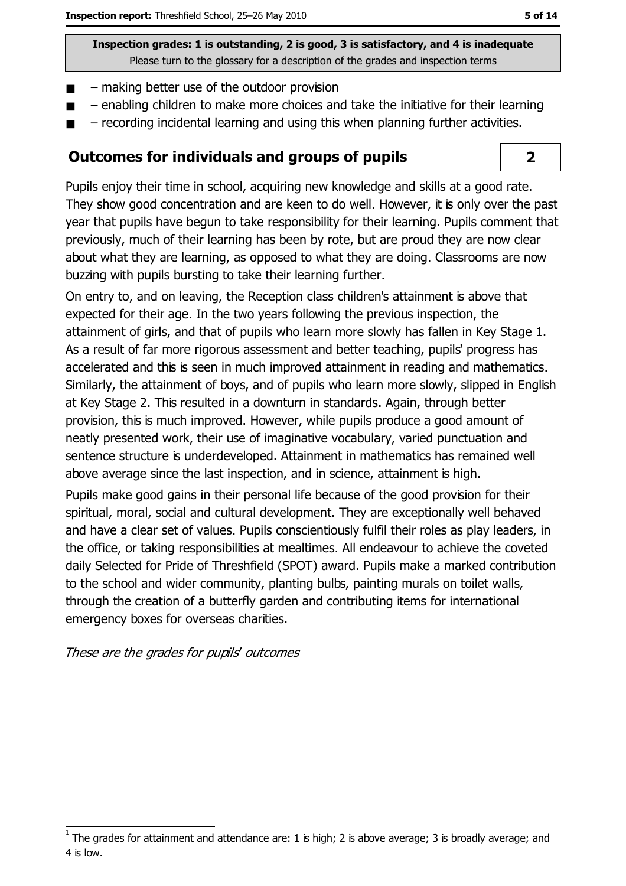- making better use of the outdoor provision  $\blacksquare$
- enabling children to make more choices and take the initiative for their learning
- recording incidental learning and using this when planning further activities.

### **Outcomes for individuals and groups of pupils**

Pupils enjoy their time in school, acquiring new knowledge and skills at a good rate. They show good concentration and are keen to do well. However, it is only over the past year that pupils have begun to take responsibility for their learning. Pupils comment that previously, much of their learning has been by rote, but are proud they are now clear about what they are learning, as opposed to what they are doing. Classrooms are now buzzing with pupils bursting to take their learning further.

On entry to, and on leaving, the Reception class children's attainment is above that expected for their age. In the two years following the previous inspection, the attainment of girls, and that of pupils who learn more slowly has fallen in Key Stage 1. As a result of far more rigorous assessment and better teaching, pupils' progress has accelerated and this is seen in much improved attainment in reading and mathematics. Similarly, the attainment of boys, and of pupils who learn more slowly, slipped in English at Key Stage 2. This resulted in a downturn in standards. Again, through better provision, this is much improved. However, while pupils produce a good amount of neatly presented work, their use of imaginative vocabulary, varied punctuation and sentence structure is underdeveloped. Attainment in mathematics has remained well above average since the last inspection, and in science, attainment is high.

Pupils make good gains in their personal life because of the good provision for their spiritual, moral, social and cultural development. They are exceptionally well behaved and have a clear set of values. Pupils conscientiously fulfil their roles as play leaders, in the office, or taking responsibilities at mealtimes. All endeavour to achieve the coveted daily Selected for Pride of Threshfield (SPOT) award. Pupils make a marked contribution to the school and wider community, planting bulbs, painting murals on toilet walls, through the creation of a butterfly garden and contributing items for international emergency boxes for overseas charities.

These are the grades for pupils' outcomes

 $\overline{2}$ 

The grades for attainment and attendance are: 1 is high; 2 is above average; 3 is broadly average; and 4 is low.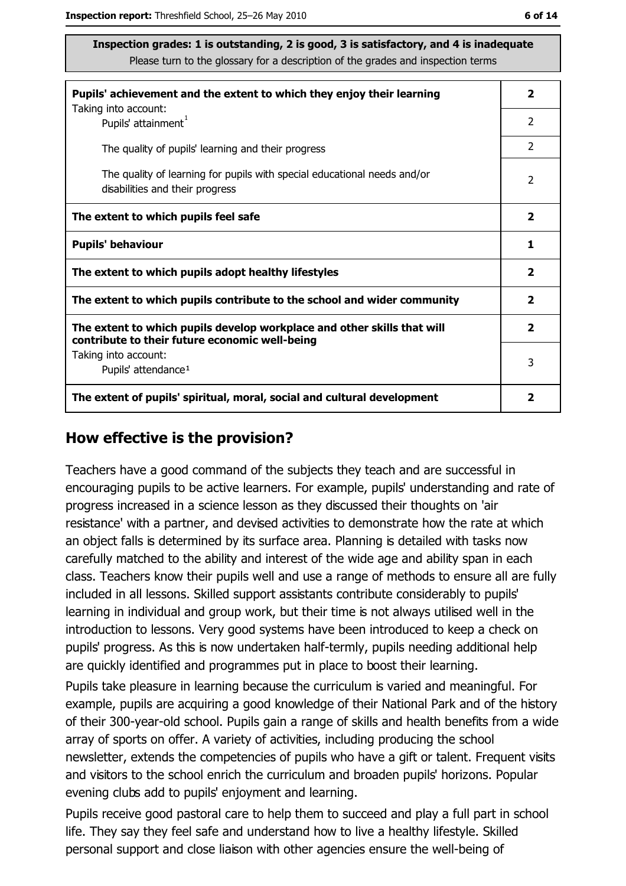| ۰.<br>× | ۰. |  |
|---------|----|--|
|---------|----|--|

| Pupils' achievement and the extent to which they enjoy their learning                                                     |                         |
|---------------------------------------------------------------------------------------------------------------------------|-------------------------|
| Taking into account:<br>Pupils' attainment <sup>1</sup>                                                                   | 2                       |
| The quality of pupils' learning and their progress                                                                        | $\mathcal{P}$           |
| The quality of learning for pupils with special educational needs and/or<br>disabilities and their progress               | $\overline{2}$          |
| The extent to which pupils feel safe                                                                                      | $\overline{\mathbf{2}}$ |
| <b>Pupils' behaviour</b>                                                                                                  | 1                       |
| The extent to which pupils adopt healthy lifestyles                                                                       | $\overline{\mathbf{2}}$ |
| The extent to which pupils contribute to the school and wider community                                                   |                         |
| The extent to which pupils develop workplace and other skills that will<br>contribute to their future economic well-being | $\overline{\mathbf{2}}$ |
| Taking into account:                                                                                                      | 3                       |
| Pupils' attendance <sup>1</sup>                                                                                           |                         |
| The extent of pupils' spiritual, moral, social and cultural development                                                   | 2                       |

#### How effective is the provision?

Teachers have a good command of the subjects they teach and are successful in encouraging pupils to be active learners. For example, pupils' understanding and rate of progress increased in a science lesson as they discussed their thoughts on 'air resistance' with a partner, and devised activities to demonstrate how the rate at which an object falls is determined by its surface area. Planning is detailed with tasks now carefully matched to the ability and interest of the wide age and ability span in each class. Teachers know their pupils well and use a range of methods to ensure all are fully included in all lessons. Skilled support assistants contribute considerably to pupils' learning in individual and group work, but their time is not always utilised well in the introduction to lessons. Very good systems have been introduced to keep a check on pupils' progress. As this is now undertaken half-termly, pupils needing additional help are quickly identified and programmes put in place to boost their learning.

Pupils take pleasure in learning because the curriculum is varied and meaningful. For example, pupils are acquiring a good knowledge of their National Park and of the history of their 300-year-old school. Pupils gain a range of skills and health benefits from a wide array of sports on offer. A variety of activities, including producing the school newsletter, extends the competencies of pupils who have a gift or talent. Frequent visits and visitors to the school enrich the curriculum and broaden pupils' horizons. Popular evening clubs add to pupils' enjoyment and learning.

Pupils receive good pastoral care to help them to succeed and play a full part in school life. They say they feel safe and understand how to live a healthy lifestyle. Skilled personal support and close liaison with other agencies ensure the well-being of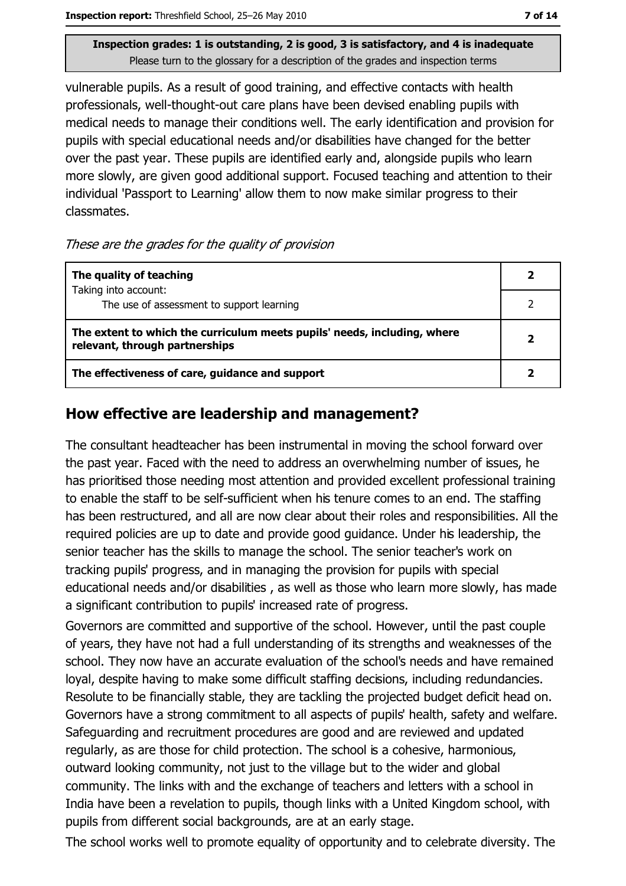Inspection report: Threshfield School, 25-26 May 2010

Inspection grades: 1 is outstanding, 2 is good, 3 is satisfactory, and 4 is inadequate Please turn to the glossary for a description of the grades and inspection terms

vulnerable pupils. As a result of good training, and effective contacts with health professionals, well-thought-out care plans have been devised enabling pupils with medical needs to manage their conditions well. The early identification and provision for pupils with special educational needs and/or disabilities have changed for the better over the past year. These pupils are identified early and, alongside pupils who learn more slowly, are given good additional support. Focused teaching and attention to their individual 'Passport to Learning' allow them to now make similar progress to their classmates.

#### These are the grades for the quality of provision

| The quality of teaching                                                                                    |                         |
|------------------------------------------------------------------------------------------------------------|-------------------------|
| Taking into account:<br>The use of assessment to support learning                                          |                         |
| The extent to which the curriculum meets pupils' needs, including, where<br>relevant, through partnerships | $\overline{\mathbf{2}}$ |
| The effectiveness of care, guidance and support                                                            |                         |

### How effective are leadership and management?

The consultant headteacher has been instrumental in moving the school forward over the past year. Faced with the need to address an overwhelming number of issues, he has prioritised those needing most attention and provided excellent professional training to enable the staff to be self-sufficient when his tenure comes to an end. The staffing has been restructured, and all are now clear about their roles and responsibilities. All the required policies are up to date and provide good guidance. Under his leadership, the senior teacher has the skills to manage the school. The senior teacher's work on tracking pupils' progress, and in managing the provision for pupils with special educational needs and/or disabilities, as well as those who learn more slowly, has made a significant contribution to pupils' increased rate of progress.

Governors are committed and supportive of the school. However, until the past couple of years, they have not had a full understanding of its strengths and weaknesses of the school. They now have an accurate evaluation of the school's needs and have remained loyal, despite having to make some difficult staffing decisions, including redundancies. Resolute to be financially stable, they are tackling the projected budget deficit head on. Governors have a strong commitment to all aspects of pupils' health, safety and welfare. Safeguarding and recruitment procedures are good and are reviewed and updated regularly, as are those for child protection. The school is a cohesive, harmonious, outward looking community, not just to the village but to the wider and global community. The links with and the exchange of teachers and letters with a school in India have been a revelation to pupils, though links with a United Kingdom school, with pupils from different social backgrounds, are at an early stage.

The school works well to promote equality of opportunity and to celebrate diversity. The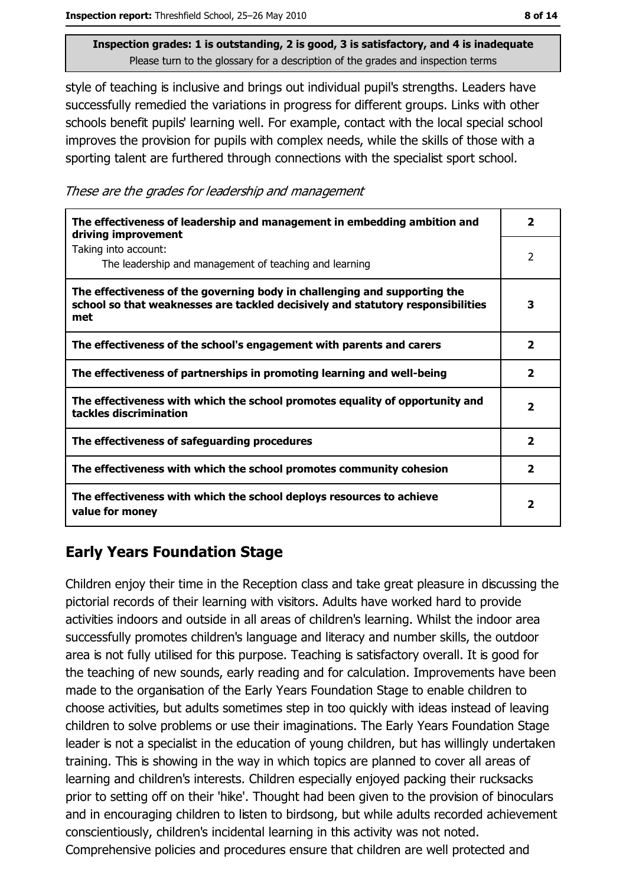style of teaching is inclusive and brings out individual pupil's strengths. Leaders have successfully remedied the variations in progress for different groups. Links with other schools benefit pupils' learning well. For example, contact with the local special school improves the provision for pupils with complex needs, while the skills of those with a sporting talent are furthered through connections with the specialist sport school.

These are the grades for leadership and management

| The effectiveness of leadership and management in embedding ambition and<br>driving improvement                                                                     | 2                       |
|---------------------------------------------------------------------------------------------------------------------------------------------------------------------|-------------------------|
| Taking into account:<br>The leadership and management of teaching and learning                                                                                      | 2                       |
| The effectiveness of the governing body in challenging and supporting the<br>school so that weaknesses are tackled decisively and statutory responsibilities<br>met | 3                       |
| The effectiveness of the school's engagement with parents and carers                                                                                                | $\overline{\mathbf{2}}$ |
| The effectiveness of partnerships in promoting learning and well-being                                                                                              | 2                       |
| The effectiveness with which the school promotes equality of opportunity and<br>tackles discrimination                                                              | 2                       |
| The effectiveness of safeguarding procedures                                                                                                                        | $\overline{\mathbf{2}}$ |
| The effectiveness with which the school promotes community cohesion                                                                                                 | $\overline{\mathbf{2}}$ |
| The effectiveness with which the school deploys resources to achieve<br>value for money                                                                             | 2                       |

# **Early Years Foundation Stage**

Children enjoy their time in the Reception class and take great pleasure in discussing the pictorial records of their learning with visitors. Adults have worked hard to provide activities indoors and outside in all areas of children's learning. Whilst the indoor area successfully promotes children's language and literacy and number skills, the outdoor area is not fully utilised for this purpose. Teaching is satisfactory overall. It is good for the teaching of new sounds, early reading and for calculation. Improvements have been made to the organisation of the Early Years Foundation Stage to enable children to choose activities, but adults sometimes step in too quickly with ideas instead of leaving children to solve problems or use their imaginations. The Early Years Foundation Stage leader is not a specialist in the education of young children, but has willingly undertaken training. This is showing in the way in which topics are planned to cover all areas of learning and children's interests. Children especially enjoyed packing their rucksacks prior to setting off on their 'hike'. Thought had been given to the provision of binoculars and in encouraging children to listen to birdsong, but while adults recorded achievement conscientiously, children's incidental learning in this activity was not noted. Comprehensive policies and procedures ensure that children are well protected and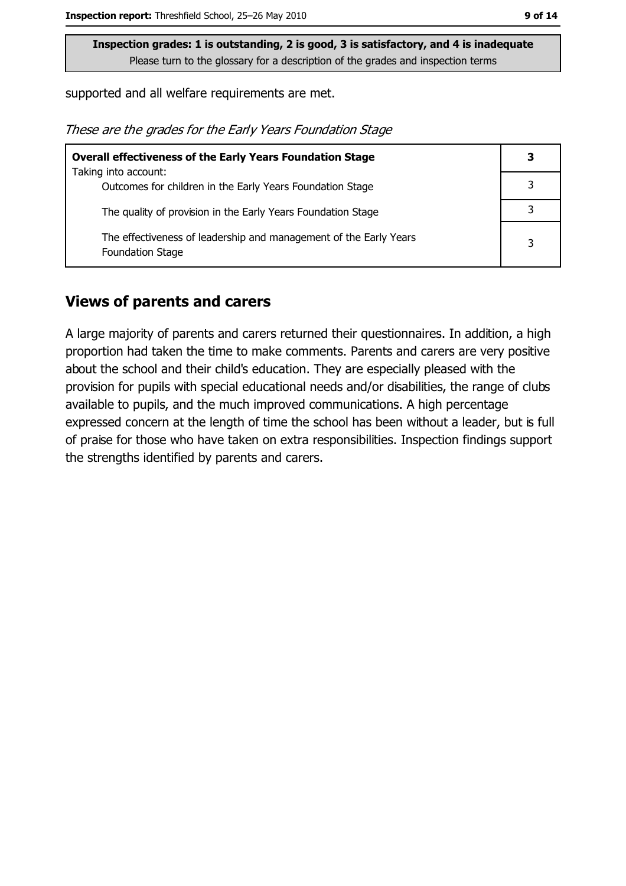supported and all welfare requirements are met.

These are the grades for the Early Years Foundation Stage

| <b>Overall effectiveness of the Early Years Foundation Stage</b>                             | 3 |
|----------------------------------------------------------------------------------------------|---|
| Taking into account:                                                                         |   |
| Outcomes for children in the Early Years Foundation Stage                                    |   |
| The quality of provision in the Early Years Foundation Stage                                 |   |
| The effectiveness of leadership and management of the Early Years<br><b>Foundation Stage</b> | 3 |

#### **Views of parents and carers**

A large majority of parents and carers returned their questionnaires. In addition, a high proportion had taken the time to make comments. Parents and carers are very positive about the school and their child's education. They are especially pleased with the provision for pupils with special educational needs and/or disabilities, the range of clubs available to pupils, and the much improved communications. A high percentage expressed concern at the length of time the school has been without a leader, but is full of praise for those who have taken on extra responsibilities. Inspection findings support the strengths identified by parents and carers.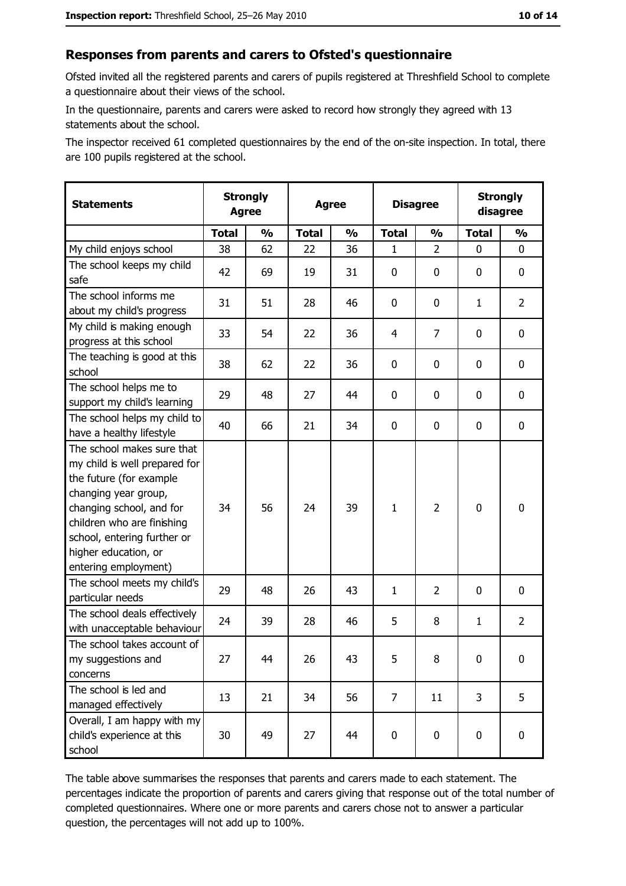#### Responses from parents and carers to Ofsted's questionnaire

Ofsted invited all the registered parents and carers of pupils registered at Threshfield School to complete a questionnaire about their views of the school.

In the questionnaire, parents and carers were asked to record how strongly they agreed with 13 statements about the school.

The inspector received 61 completed questionnaires by the end of the on-site inspection. In total, there are 100 pupils registered at the school.

| <b>Statements</b>                                                                                                                                                                                                                                       | <b>Strongly</b><br><b>Agree</b> |               | <b>Agree</b> |               | <b>Disagree</b> |                | <b>Strongly</b><br>disagree |                  |
|---------------------------------------------------------------------------------------------------------------------------------------------------------------------------------------------------------------------------------------------------------|---------------------------------|---------------|--------------|---------------|-----------------|----------------|-----------------------------|------------------|
|                                                                                                                                                                                                                                                         | <b>Total</b>                    | $\frac{1}{2}$ | <b>Total</b> | $\frac{0}{0}$ | <b>Total</b>    | $\frac{1}{2}$  | <b>Total</b>                | $\frac{1}{2}$    |
| My child enjoys school                                                                                                                                                                                                                                  | 38                              | 62            | 22           | 36            | 1               | $\overline{2}$ | 0                           | 0                |
| The school keeps my child<br>safe                                                                                                                                                                                                                       | 42                              | 69            | 19           | 31            | $\mathbf 0$     | 0              | 0                           | 0                |
| The school informs me<br>about my child's progress                                                                                                                                                                                                      | 31                              | 51            | 28           | 46            | 0               | 0              | 1                           | $\overline{2}$   |
| My child is making enough<br>progress at this school                                                                                                                                                                                                    | 33                              | 54            | 22           | 36            | 4               | $\overline{7}$ | 0                           | 0                |
| The teaching is good at this<br>school                                                                                                                                                                                                                  | 38                              | 62            | 22           | 36            | 0               | 0              | 0                           | 0                |
| The school helps me to<br>support my child's learning                                                                                                                                                                                                   | 29                              | 48            | 27           | 44            | $\mathbf 0$     | 0              | 0                           | 0                |
| The school helps my child to<br>have a healthy lifestyle                                                                                                                                                                                                | 40                              | 66            | 21           | 34            | $\mathbf 0$     | 0              | 0                           | $\mathbf 0$      |
| The school makes sure that<br>my child is well prepared for<br>the future (for example<br>changing year group,<br>changing school, and for<br>children who are finishing<br>school, entering further or<br>higher education, or<br>entering employment) | 34                              | 56            | 24           | 39            | $\mathbf{1}$    | $\overline{2}$ | $\mathbf 0$                 | $\mathbf 0$      |
| The school meets my child's<br>particular needs                                                                                                                                                                                                         | 29                              | 48            | 26           | 43            | 1               | $\overline{2}$ | 0                           | 0                |
| The school deals effectively<br>with unacceptable behaviour                                                                                                                                                                                             | 24                              | 39            | 28           | 46            | 5               | 8              | $\mathbf{1}$                | $\overline{2}$   |
| The school takes account of<br>my suggestions and<br>concerns                                                                                                                                                                                           | 27                              | 44            | 26           | 43            | 5               | 8              | 0                           | $\boldsymbol{0}$ |
| The school is led and<br>managed effectively                                                                                                                                                                                                            | 13                              | 21            | 34           | 56            | $\overline{7}$  | 11             | 3                           | 5                |
| Overall, I am happy with my<br>child's experience at this<br>school                                                                                                                                                                                     | 30                              | 49            | 27           | 44            | $\mathbf 0$     | 0              | 0                           | 0                |

The table above summarises the responses that parents and carers made to each statement. The percentages indicate the proportion of parents and carers giving that response out of the total number of completed questionnaires. Where one or more parents and carers chose not to answer a particular question, the percentages will not add up to 100%.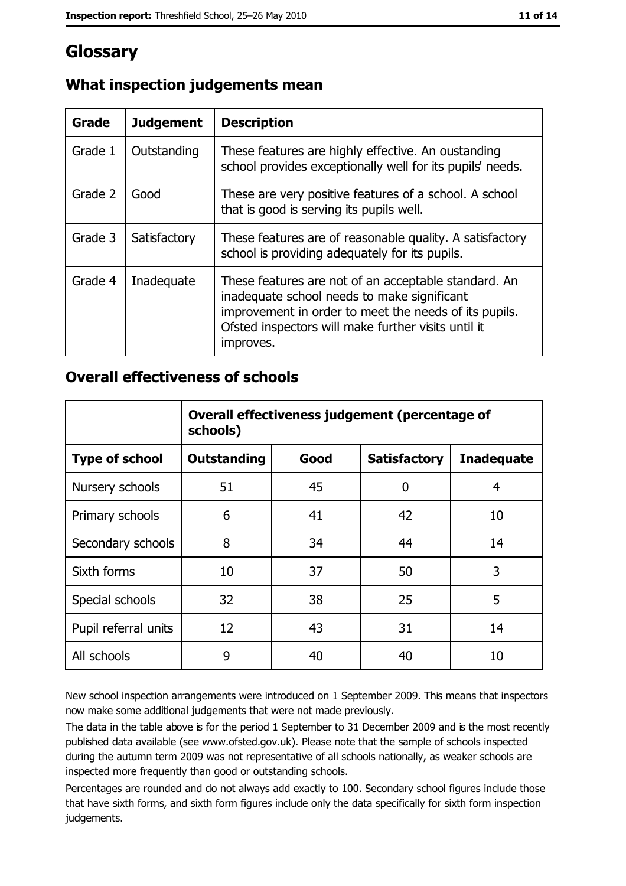# **Glossary**

| Grade   | <b>Judgement</b> | <b>Description</b>                                                                                                                                                                                                               |  |
|---------|------------------|----------------------------------------------------------------------------------------------------------------------------------------------------------------------------------------------------------------------------------|--|
| Grade 1 | Outstanding      | These features are highly effective. An oustanding<br>school provides exceptionally well for its pupils' needs.                                                                                                                  |  |
| Grade 2 | Good             | These are very positive features of a school. A school<br>that is good is serving its pupils well.                                                                                                                               |  |
| Grade 3 | Satisfactory     | These features are of reasonable quality. A satisfactory<br>school is providing adequately for its pupils.                                                                                                                       |  |
| Grade 4 | Inadequate       | These features are not of an acceptable standard. An<br>inadequate school needs to make significant<br>improvement in order to meet the needs of its pupils.<br>Ofsted inspectors will make further visits until it<br>improves. |  |

# What inspection judgements mean

### **Overall effectiveness of schools**

|                       | Overall effectiveness judgement (percentage of<br>schools) |      |                     |                   |
|-----------------------|------------------------------------------------------------|------|---------------------|-------------------|
| <b>Type of school</b> | <b>Outstanding</b>                                         | Good | <b>Satisfactory</b> | <b>Inadequate</b> |
| Nursery schools       | 51                                                         | 45   | 0                   | 4                 |
| Primary schools       | 6                                                          | 41   | 42                  | 10                |
| Secondary schools     | 8                                                          | 34   | 44                  | 14                |
| Sixth forms           | 10                                                         | 37   | 50                  | 3                 |
| Special schools       | 32                                                         | 38   | 25                  | 5                 |
| Pupil referral units  | 12                                                         | 43   | 31                  | 14                |
| All schools           | 9                                                          | 40   | 40                  | 10                |

New school inspection arrangements were introduced on 1 September 2009. This means that inspectors now make some additional judgements that were not made previously.

The data in the table above is for the period 1 September to 31 December 2009 and is the most recently published data available (see www.ofsted.gov.uk). Please note that the sample of schools inspected during the autumn term 2009 was not representative of all schools nationally, as weaker schools are inspected more frequently than good or outstanding schools.

Percentages are rounded and do not always add exactly to 100. Secondary school figures include those that have sixth forms, and sixth form figures include only the data specifically for sixth form inspection judgements.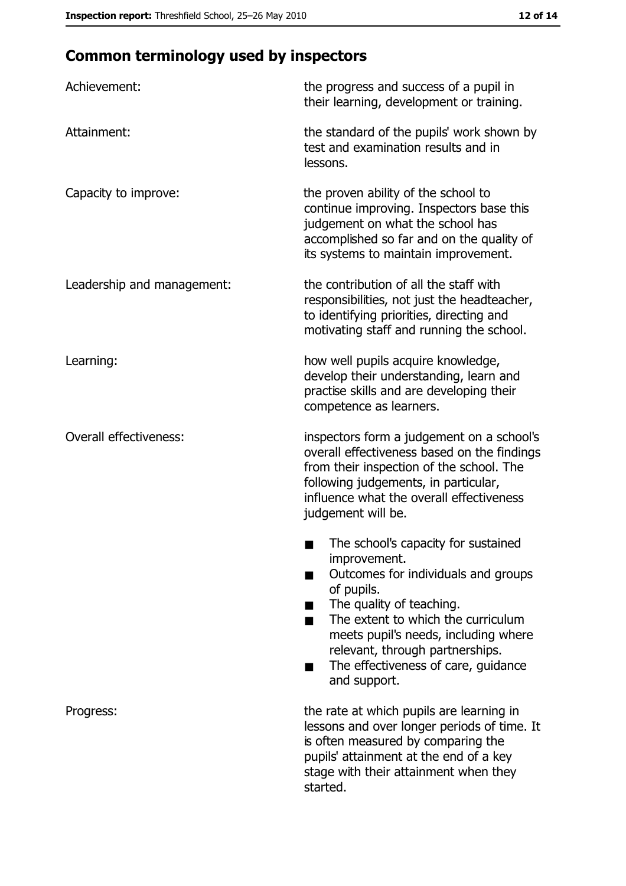# **Common terminology used by inspectors**

| Achievement:                  | the progress and success of a pupil in<br>their learning, development or training.                                                                                                                                                                                                                           |
|-------------------------------|--------------------------------------------------------------------------------------------------------------------------------------------------------------------------------------------------------------------------------------------------------------------------------------------------------------|
| Attainment:                   | the standard of the pupils' work shown by<br>test and examination results and in<br>lessons.                                                                                                                                                                                                                 |
| Capacity to improve:          | the proven ability of the school to<br>continue improving. Inspectors base this<br>judgement on what the school has<br>accomplished so far and on the quality of<br>its systems to maintain improvement.                                                                                                     |
| Leadership and management:    | the contribution of all the staff with<br>responsibilities, not just the headteacher,<br>to identifying priorities, directing and<br>motivating staff and running the school.                                                                                                                                |
| Learning:                     | how well pupils acquire knowledge,<br>develop their understanding, learn and<br>practise skills and are developing their<br>competence as learners.                                                                                                                                                          |
| <b>Overall effectiveness:</b> | inspectors form a judgement on a school's<br>overall effectiveness based on the findings<br>from their inspection of the school. The<br>following judgements, in particular,<br>influence what the overall effectiveness<br>judgement will be.                                                               |
|                               | The school's capacity for sustained<br>improvement.<br>Outcomes for individuals and groups<br>of pupils.<br>The quality of teaching.<br>The extent to which the curriculum<br>meets pupil's needs, including where<br>relevant, through partnerships.<br>The effectiveness of care, guidance<br>and support. |
| Progress:                     | the rate at which pupils are learning in<br>lessons and over longer periods of time. It<br>is often measured by comparing the<br>pupils' attainment at the end of a key<br>stage with their attainment when they<br>started.                                                                                 |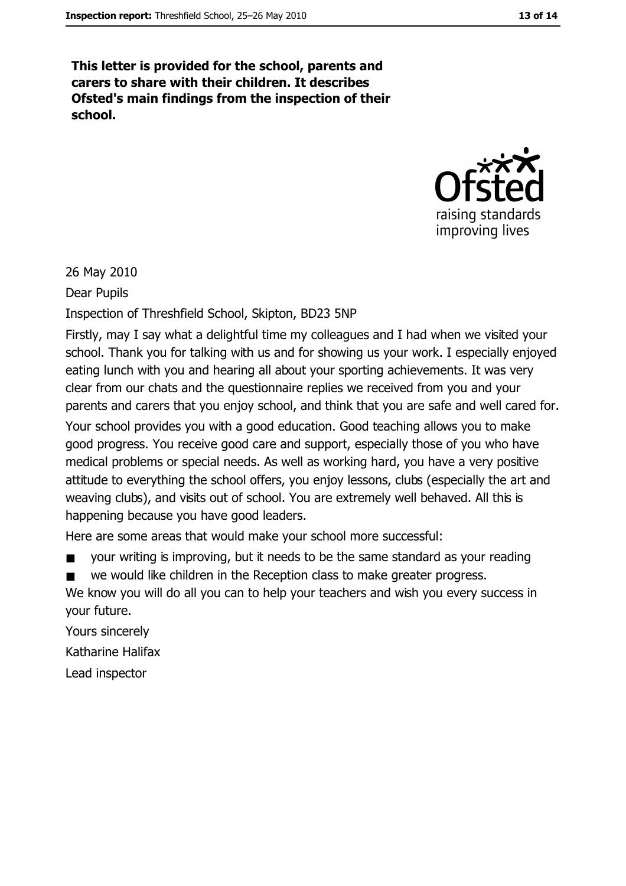This letter is provided for the school, parents and carers to share with their children. It describes Ofsted's main findings from the inspection of their school.



26 May 2010

Dear Pupils

Inspection of Threshfield School, Skipton, BD23 5NP

Firstly, may I say what a delightful time my colleagues and I had when we visited your school. Thank you for talking with us and for showing us your work. I especially enjoyed eating lunch with you and hearing all about your sporting achievements. It was very clear from our chats and the questionnaire replies we received from you and your parents and carers that you enjoy school, and think that you are safe and well cared for. Your school provides you with a good education. Good teaching allows you to make good progress. You receive good care and support, especially those of you who have medical problems or special needs. As well as working hard, you have a very positive attitude to everything the school offers, you enjoy lessons, clubs (especially the art and weaving clubs), and visits out of school. You are extremely well behaved. All this is happening because you have good leaders.

Here are some areas that would make your school more successful:

your writing is improving, but it needs to be the same standard as your reading

we would like children in the Reception class to make greater progress.  $\blacksquare$ 

We know you will do all you can to help your teachers and wish you every success in your future.

Yours sincerely Katharine Halifax Lead inspector